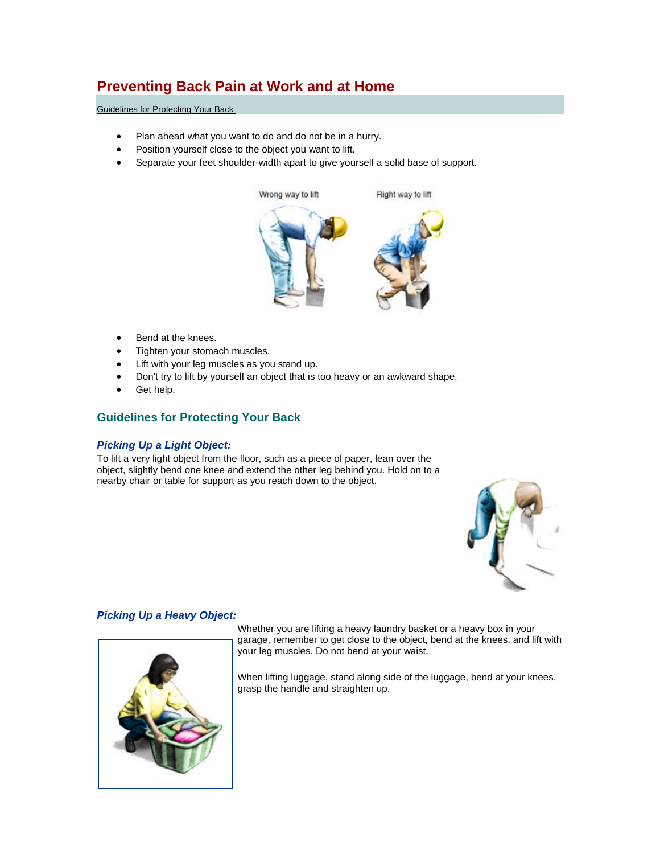# **Preventing Back Pain at Work and at Home**

[Guidelines for Protecting Your Back](http://orthoinfo.aaos.org/topic.cfm?topic=A00175&return_link=0#Guidelines for Protecting Your Back#Guidelines for Protecting Your Back) 

- Plan ahead what you want to do and do not be in a hurry.
- Position yourself close to the object you want to lift.
- Separate your feet shoulder-width apart to give yourself a solid base of support.



- Bend at the knees.
- Tighten your stomach muscles.
- Lift with your leg muscles as you stand up.
- Don't try to lift by yourself an object that is too heavy or an awkward shape.
- Get help.

# **Guidelines for Protecting Your Back**

## *Picking Up a Light Object:*

To lift a very light object from the floor, such as a piece of paper, lean over the object, slightly bend one knee and extend the other leg behind you. Hold on to a nearby chair or table for support as you reach down to the object.



## *Picking Up a Heavy Object:*



Whether you are lifting a heavy laundry basket or a heavy box in your garage, remember to get close to the object, bend at the knees, and lift with your leg muscles. Do not bend at your waist.

When lifting luggage, stand along side of the luggage, bend at your knees, grasp the handle and straighten up.